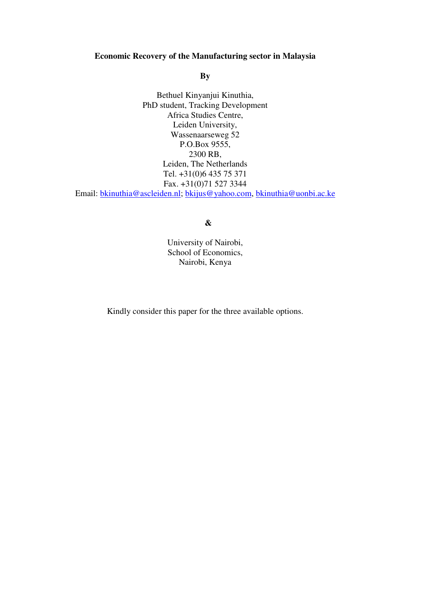### **Economic Recovery of the Manufacturing sector in Malaysia**

**By** 

Bethuel Kinyanjui Kinuthia, PhD student, Tracking Development Africa Studies Centre, Leiden University, Wassenaarseweg 52 P.O.Box 9555, 2300 RB, Leiden, The Netherlands Tel. +31(0)6 435 75 371 Fax. +31(0)71 527 3344 Email: bkinuthia@ascleiden.nl; bkijus@yahoo.com, bkinuthia@uonbi.ac.ke

# **&**

University of Nairobi, School of Economics, Nairobi, Kenya

Kindly consider this paper for the three available options.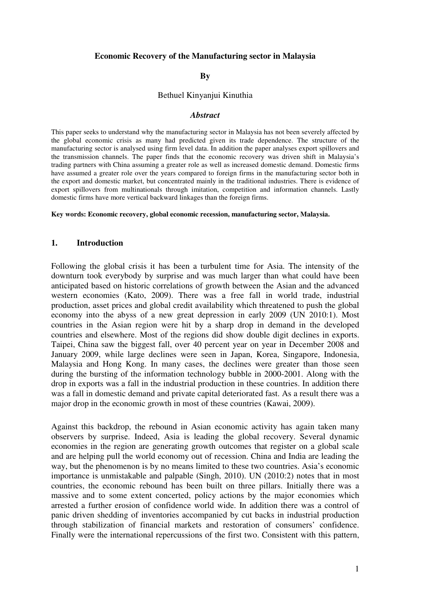### **Economic Recovery of the Manufacturing sector in Malaysia**

#### **By**

#### Bethuel Kinyanjui Kinuthia

#### *Abstract*

This paper seeks to understand why the manufacturing sector in Malaysia has not been severely affected by the global economic crisis as many had predicted given its trade dependence. The structure of the manufacturing sector is analysed using firm level data. In addition the paper analyses export spillovers and the transmission channels. The paper finds that the economic recovery was driven shift in Malaysia's trading partners with China assuming a greater role as well as increased domestic demand. Domestic firms have assumed a greater role over the years compared to foreign firms in the manufacturing sector both in the export and domestic market, but concentrated mainly in the traditional industries. There is evidence of export spillovers from multinationals through imitation, competition and information channels. Lastly domestic firms have more vertical backward linkages than the foreign firms.

**Key words: Economic recovery, global economic recession, manufacturing sector, Malaysia.** 

#### **1. Introduction**

Following the global crisis it has been a turbulent time for Asia. The intensity of the downturn took everybody by surprise and was much larger than what could have been anticipated based on historic correlations of growth between the Asian and the advanced western economies (Kato, 2009). There was a free fall in world trade, industrial production, asset prices and global credit availability which threatened to push the global economy into the abyss of a new great depression in early 2009 (UN 2010:1). Most countries in the Asian region were hit by a sharp drop in demand in the developed countries and elsewhere. Most of the regions did show double digit declines in exports. Taipei, China saw the biggest fall, over 40 percent year on year in December 2008 and January 2009, while large declines were seen in Japan, Korea, Singapore, Indonesia, Malaysia and Hong Kong. In many cases, the declines were greater than those seen during the bursting of the information technology bubble in 2000-2001. Along with the drop in exports was a fall in the industrial production in these countries. In addition there was a fall in domestic demand and private capital deteriorated fast. As a result there was a major drop in the economic growth in most of these countries (Kawai, 2009).

Against this backdrop, the rebound in Asian economic activity has again taken many observers by surprise. Indeed, Asia is leading the global recovery. Several dynamic economies in the region are generating growth outcomes that register on a global scale and are helping pull the world economy out of recession. China and India are leading the way, but the phenomenon is by no means limited to these two countries. Asia's economic importance is unmistakable and palpable (Singh, 2010). UN (2010:2) notes that in most countries, the economic rebound has been built on three pillars. Initially there was a massive and to some extent concerted, policy actions by the major economies which arrested a further erosion of confidence world wide. In addition there was a control of panic driven shedding of inventories accompanied by cut backs in industrial production through stabilization of financial markets and restoration of consumers' confidence. Finally were the international repercussions of the first two. Consistent with this pattern,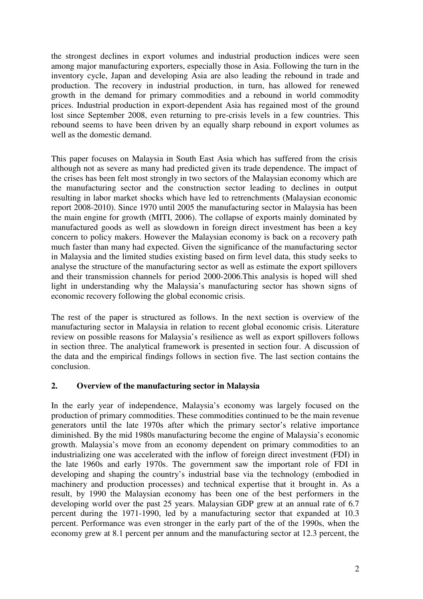the strongest declines in export volumes and industrial production indices were seen among major manufacturing exporters, especially those in Asia. Following the turn in the inventory cycle, Japan and developing Asia are also leading the rebound in trade and production. The recovery in industrial production, in turn, has allowed for renewed growth in the demand for primary commodities and a rebound in world commodity prices. Industrial production in export-dependent Asia has regained most of the ground lost since September 2008, even returning to pre-crisis levels in a few countries. This rebound seems to have been driven by an equally sharp rebound in export volumes as well as the domestic demand.

This paper focuses on Malaysia in South East Asia which has suffered from the crisis although not as severe as many had predicted given its trade dependence. The impact of the crises has been felt most strongly in two sectors of the Malaysian economy which are the manufacturing sector and the construction sector leading to declines in output resulting in labor market shocks which have led to retrenchments (Malaysian economic report 2008-2010). Since 1970 until 2005 the manufacturing sector in Malaysia has been the main engine for growth (MITI, 2006). The collapse of exports mainly dominated by manufactured goods as well as slowdown in foreign direct investment has been a key concern to policy makers. However the Malaysian economy is back on a recovery path much faster than many had expected. Given the significance of the manufacturing sector in Malaysia and the limited studies existing based on firm level data, this study seeks to analyse the structure of the manufacturing sector as well as estimate the export spillovers and their transmission channels for period 2000-2006.This analysis is hoped will shed light in understanding why the Malaysia's manufacturing sector has shown signs of economic recovery following the global economic crisis.

The rest of the paper is structured as follows. In the next section is overview of the manufacturing sector in Malaysia in relation to recent global economic crisis. Literature review on possible reasons for Malaysia's resilience as well as export spillovers follows in section three. The analytical framework is presented in section four. A discussion of the data and the empirical findings follows in section five. The last section contains the conclusion.

# **2. Overview of the manufacturing sector in Malaysia**

In the early year of independence, Malaysia's economy was largely focused on the production of primary commodities. These commodities continued to be the main revenue generators until the late 1970s after which the primary sector's relative importance diminished. By the mid 1980s manufacturing become the engine of Malaysia's economic growth. Malaysia's move from an economy dependent on primary commodities to an industrializing one was accelerated with the inflow of foreign direct investment (FDI) in the late 1960s and early 1970s. The government saw the important role of FDI in developing and shaping the country's industrial base via the technology (embodied in machinery and production processes) and technical expertise that it brought in. As a result, by 1990 the Malaysian economy has been one of the best performers in the developing world over the past 25 years. Malaysian GDP grew at an annual rate of 6.7 percent during the 1971-1990, led by a manufacturing sector that expanded at 10.3 percent. Performance was even stronger in the early part of the of the 1990s, when the economy grew at 8.1 percent per annum and the manufacturing sector at 12.3 percent, the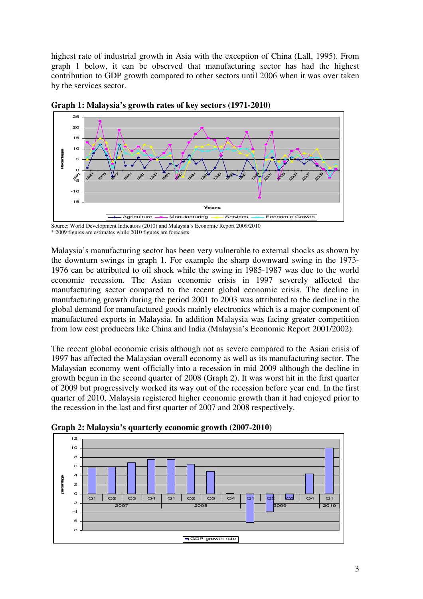highest rate of industrial growth in Asia with the exception of China (Lall, 1995). From graph 1 below, it can be observed that manufacturing sector has had the highest contribution to GDP growth compared to other sectors until 2006 when it was over taken by the services sector.



**Graph 1: Malaysia's growth rates of key sectors (1971-2010)** 

Source: World Development Indicators (2010) and Malaysia's Economic Report 2009/2010 \* 2009 figures are estimates while 2010 figures are forecasts

Malaysia's manufacturing sector has been very vulnerable to external shocks as shown by the downturn swings in graph 1. For example the sharp downward swing in the 1973- 1976 can be attributed to oil shock while the swing in 1985-1987 was due to the world economic recession. The Asian economic crisis in 1997 severely affected the manufacturing sector compared to the recent global economic crisis. The decline in manufacturing growth during the period 2001 to 2003 was attributed to the decline in the global demand for manufactured goods mainly electronics which is a major component of manufactured exports in Malaysia. In addition Malaysia was facing greater competition from low cost producers like China and India (Malaysia's Economic Report 2001/2002).

The recent global economic crisis although not as severe compared to the Asian crisis of 1997 has affected the Malaysian overall economy as well as its manufacturing sector. The Malaysian economy went officially into a recession in mid 2009 although the decline in growth begun in the second quarter of 2008 (Graph 2). It was worst hit in the first quarter of 2009 but progressively worked its way out of the recession before year end. In the first quarter of 2010, Malaysia registered higher economic growth than it had enjoyed prior to the recession in the last and first quarter of 2007 and 2008 respectively.



**Graph 2: Malaysia's quarterly economic growth (2007-2010)**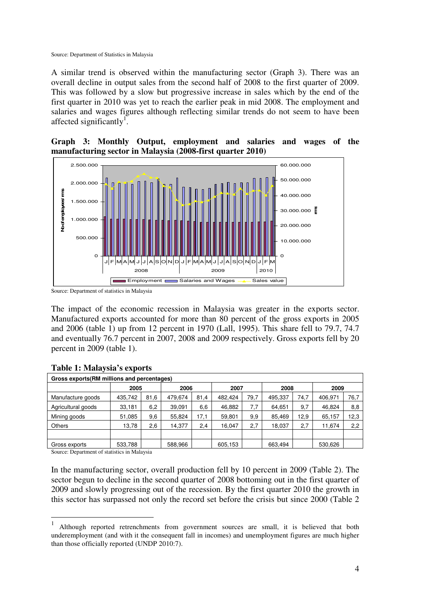Source: Department of Statistics in Malaysia

A similar trend is observed within the manufacturing sector (Graph 3). There was an overall decline in output sales from the second half of 2008 to the first quarter of 2009. This was followed by a slow but progressive increase in sales which by the end of the first quarter in 2010 was yet to reach the earlier peak in mid 2008. The employment and salaries and wages figures although reflecting similar trends do not seem to have been affected significantly<sup>1</sup>.

**Graph 3: Monthly Output, employment and salaries and wages of the manufacturing sector in Malaysia (2008-first quarter 2010)** 



Source: Department of statistics in Malaysia

The impact of the economic recession in Malaysia was greater in the exports sector. Manufactured exports accounted for more than 80 percent of the gross exports in 2005 and 2006 (table 1) up from 12 percent in 1970 (Lall, 1995). This share fell to 79.7, 74.7 and eventually 76.7 percent in 2007, 2008 and 2009 respectively. Gross exports fell by 20 percent in 2009 (table 1).

| Gross exports (RM millions and percentages) |         |              |         |      |         |      |         |      |         |      |
|---------------------------------------------|---------|--------------|---------|------|---------|------|---------|------|---------|------|
|                                             |         | 2006<br>2005 |         | 2007 |         | 2008 |         | 2009 |         |      |
| Manufacture goods                           | 435.742 | 81,6         | 479.674 | 81.4 | 482.424 | 79.7 | 495,337 | 74.7 | 406.971 | 76,7 |
| Agricultural goods                          | 33,181  | 6,2          | 39.091  | 6,6  | 46.882  | 7,7  | 64,651  | 9,7  | 46.824  | 8,8  |
| Mining goods                                | 51,085  | 9,6          | 55.824  | 17,1 | 59,801  | 9,9  | 85,469  | 12,9 | 65,157  | 12,3 |
| <b>Others</b>                               | 13,78   | 2,6          | 14,377  | 2,4  | 16,047  | 2,7  | 18,037  | 2,7  | 11,674  | 2,2  |
|                                             |         |              |         |      |         |      |         |      |         |      |
| Gross exports                               | 533,788 |              | 588.966 |      | 605,153 |      | 663,494 |      | 530,626 |      |

### **Table 1: Malaysia's exports**

Source: Department of statistics in Malaysia

 $\overline{a}$ 

In the manufacturing sector, overall production fell by 10 percent in 2009 (Table 2). The sector begun to decline in the second quarter of 2008 bottoming out in the first quarter of 2009 and slowly progressing out of the recession. By the first quarter 2010 the growth in this sector has surpassed not only the record set before the crisis but since 2000 (Table 2

<sup>1</sup> Although reported retrenchments from government sources are small, it is believed that both underemployment (and with it the consequent fall in incomes) and unemployment figures are much higher than those officially reported (UNDP 2010:7).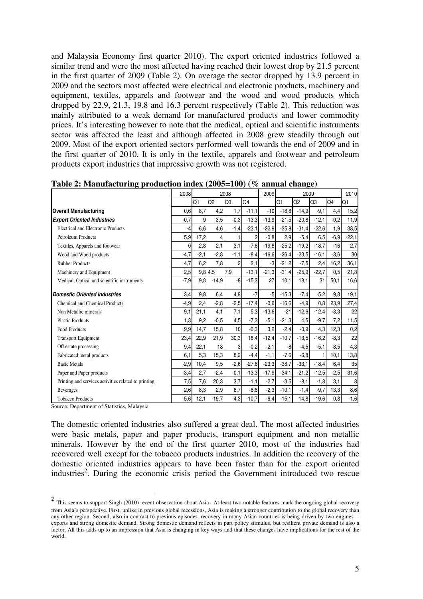and Malaysia Economy first quarter 2010). The export oriented industries followed a similar trend and were the most affected having reached their lowest drop by 21.5 percent in the first quarter of 2009 (Table 2). On average the sector dropped by 13.9 percent in 2009 and the sectors most affected were electrical and electronic products, machinery and equipment, textiles, apparels and footwear and the wood and wood products which dropped by 22,9, 21.3, 19.8 and 16.3 percent respectively (Table 2). This reduction was mainly attributed to a weak demand for manufactured products and lower commodity prices. It's interesting however to note that the medical, optical and scientific instruments sector was affected the least and although affected in 2008 grew steadily through out 2009. Most of the export oriented sectors performed well towards the end of 2009 and in the first quarter of 2010. It is only in the textile, apparels and footwear and petroleum products export industries that impressive growth was not registered.

|                                                      | 2008     | 2008           |                |                |         | 2009    | 2009    |                |                | 2010   |         |
|------------------------------------------------------|----------|----------------|----------------|----------------|---------|---------|---------|----------------|----------------|--------|---------|
|                                                      |          | Q1             | Q <sub>2</sub> | Q <sub>3</sub> | O4      |         | Q1      | Q <sub>2</sub> | Q <sub>3</sub> | Q4     | Q1      |
| <b>Overall Manufacturing</b>                         | 0,6      | 8,7            | 4,2            | 1,7            | $-11,1$ | $-10$   | $-18.8$ | $-14,9$        | $-9,1$         | 4,4    | 15,2    |
| <b>Export Oriented Industries</b>                    | $-0,7$   | $\overline{9}$ | 3,5            | $-0.3$         | $-13.3$ | $-13.9$ | $-21.5$ | $-20,8$        | $-12,1$        | $-0,2$ | 11,9    |
| Electrical and Electronic Products                   | -4       | 6,6            | 4,6            | $-1,4$         | $-23,1$ | $-22,9$ | $-35,8$ | $-31,4$        | $-22.6$        | 1,9    | 38,5    |
| Petroleum Products                                   | 5,9      | 17,2           | 4              |                | 2       | $-0.8$  | 2,9     | $-5,4$         | 6.5            | $-6.9$ | $-22,1$ |
| Textiles, Apparels and footwear                      | $\Omega$ | 2,8            | 2,1            | 3,1            | $-7,6$  | $-19,8$ | $-25,2$ | $-19,2$        | $-18,7$        | $-16$  | 2,7     |
| Wood and Wood products                               | $-4,7$   | $-2,1$         | $-2,8$         | $-1,1$         | $-8,4$  | $-16,6$ | $-26,4$ | $-23.5$        | $-16,1$        | $-3,6$ | 30      |
| <b>Rubber Products</b>                               | 4,7      | 6,2            | 7,8            | $\overline{c}$ | 2,1     | -3      | $-21,2$ | $-7,5$         | 2,4            | 16,2   | 36,1    |
| Machinery and Equipment                              | 2,5      |                | $9,8$ 4.5      | 7.9            | $-13,1$ | $-21.3$ | $-31,4$ | $-25.9$        | $-22.7$        | 0,5    | 21,8    |
| Medical, Optical and scientific instruments          | $-7,9$   | 9,8            | $-14.9$        | -8             | $-15,3$ | 27      | 10,1    | 18,1           | 31             | 50.1   | 16,6    |
| <b>Domestic Oriented Industries</b>                  | 3,4      | 9,8            | 6,4            | 4,9            | $-7$    | $-5$    | $-15.3$ | $-7,4$         | $-5,2$         | 9,3    | 19,1    |
| <b>Chemical and Chemical Products</b>                | -4,91    | 2,4            | $-2,8$         | $-2,5$         | $-17,4$ | $-0.6$  | $-16,6$ | $-4.9$         | 0,8            | 23,9   | 27,4    |
| Non Metallic minerals                                | 9,1      | 21,1           | 4,1            | 7,1            | 5,3     | $-13,6$ | $-21$   | $-12.6$        | $-12.4$        | $-8.3$ | 22      |
| <b>Plastic Products</b>                              | 1,3      | 9,2            | $-0.5$         | 4,5            | $-7,3$  | $-5,1$  | $-21,3$ | 4,5            | $-9,7$         | 7,2    | 11,5    |
| <b>Food Products</b>                                 | 9,9      | 14,7           | 15,8           | 10             | $-0.3$  | 3,2     | $-2,4$  | $-0.9$         | 4,3            | 12,3   | 0,2     |
| <b>Transport Equipment</b>                           | 23,4     | 22,9           | 21,9           | 30,3           | 18,4    | $-12,4$ | $-10,7$ | $-13.5$        | $-16,2$        | $-8,3$ | 22      |
| Off estate processing                                | 9,4      | 22,1           | 18             | 3              | $-0,2$  | $-2,1$  | -8      | $-4,5$         | $-5,1$         | 8,5    | 4,3     |
| Fabricated metal products                            | 6,1      | 5.3            | 15,3           | 8,2            | $-4.4$  | $-1.1$  | $-7.6$  | $-6.8$         | 1              | 10.1   | 13,8    |
| <b>Basic Metals</b>                                  | $-2.9$   | 10,4           | 9,5            | $-2,6$         | $-27,6$ | $-23.3$ | $-38,7$ | $-33.1$        | $-18,4$        | 6,4    | 35      |
| Paper and Paper products                             | $-3,4$   | 2,7            | $-2,4$         | $-0,1$         | $-13,3$ | $-17,9$ | $-34,1$ | $-21.2$        | $-12.5$        | $-2,5$ | 31,6    |
| Printing and services activities related to printing | 7,5      | 7,6            | 20,3           | 3,7            | $-1,1$  | $-2,7$  | $-3,5$  | $-8,1$         | $-1,8$         | 3,1    | 8       |
| <b>Beverages</b>                                     | 2,6      | 8,3            | 2,9            | 6,7            | $-6,8$  | $-2,3$  | $-10,1$ | $-1,4$         | $-9,7$         | 13,3   | 8,6     |
| <b>Tobacco Products</b>                              | $-5,6$   | 12.1           | $-19.7$        | $-4,3$         | $-10,7$ | $-6.4$  | $-15,1$ | 14,8           | $-19.6$        | 0,8    | $-1,6$  |

**Table 2: Manufacturing production index (2005=100) (% annual change)** 

Source: Department of Statistics, Malaysia

The domestic oriented industries also suffered a great deal. The most affected industries were basic metals, paper and paper products, transport equipment and non metallic minerals. However by the end of the first quarter 2010, most of the industries had recovered well except for the tobacco products industries. In addition the recovery of the domestic oriented industries appears to have been faster than for the export oriented industries<sup>2</sup>. During the economic crisis period the Government introduced two rescue

<sup>&</sup>lt;sup>2</sup> This seems to support Singh (2010) recent observation about Asia. At least two notable features mark the ongoing global recovery from Asia's perspective. First, unlike in previous global recessions, Asia is making a stronger contribution to the global recovery than any other region. Second, also in contrast to previous episodes, recovery in many Asian countries is being driven by two engines exports and strong domestic demand. Strong domestic demand reflects in part policy stimulus, but resilient private demand is also a factor. All this adds up to an impression that Asia is changing in key ways and that these changes have implications for the rest of the world.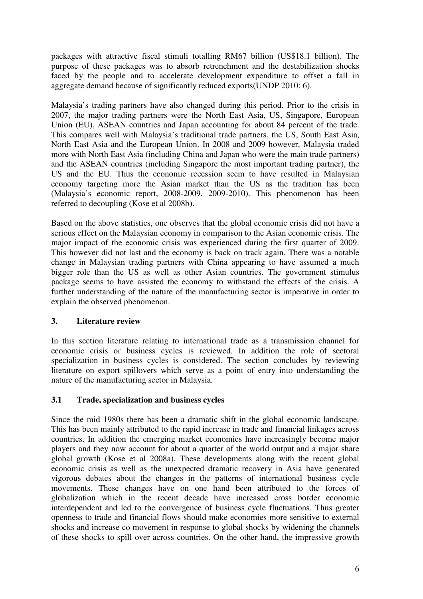packages with attractive fiscal stimuli totalling RM67 billion (US\$18.1 billion). The purpose of these packages was to absorb retrenchment and the destabilization shocks faced by the people and to accelerate development expenditure to offset a fall in aggregate demand because of significantly reduced exports(UNDP 2010: 6).

Malaysia's trading partners have also changed during this period. Prior to the crisis in 2007, the major trading partners were the North East Asia, US, Singapore, European Union (EU), ASEAN countries and Japan accounting for about 84 percent of the trade. This compares well with Malaysia's traditional trade partners, the US, South East Asia, North East Asia and the European Union. In 2008 and 2009 however, Malaysia traded more with North East Asia (including China and Japan who were the main trade partners) and the ASEAN countries (including Singapore the most important trading partner), the US and the EU. Thus the economic recession seem to have resulted in Malaysian economy targeting more the Asian market than the US as the tradition has been (Malaysia's economic report, 2008-2009, 2009-2010). This phenomenon has been referred to decoupling (Kose et al 2008b).

Based on the above statistics, one observes that the global economic crisis did not have a serious effect on the Malaysian economy in comparison to the Asian economic crisis. The major impact of the economic crisis was experienced during the first quarter of 2009. This however did not last and the economy is back on track again. There was a notable change in Malaysian trading partners with China appearing to have assumed a much bigger role than the US as well as other Asian countries. The government stimulus package seems to have assisted the economy to withstand the effects of the crisis. A further understanding of the nature of the manufacturing sector is imperative in order to explain the observed phenomenon.

# **3. Literature review**

In this section literature relating to international trade as a transmission channel for economic crisis or business cycles is reviewed. In addition the role of sectoral specialization in business cycles is considered. The section concludes by reviewing literature on export spillovers which serve as a point of entry into understanding the nature of the manufacturing sector in Malaysia.

## **3.1 Trade, specialization and business cycles**

Since the mid 1980s there has been a dramatic shift in the global economic landscape. This has been mainly attributed to the rapid increase in trade and financial linkages across countries. In addition the emerging market economies have increasingly become major players and they now account for about a quarter of the world output and a major share global growth (Kose et al 2008a). These developments along with the recent global economic crisis as well as the unexpected dramatic recovery in Asia have generated vigorous debates about the changes in the patterns of international business cycle movements. These changes have on one hand been attributed to the forces of globalization which in the recent decade have increased cross border economic interdependent and led to the convergence of business cycle fluctuations. Thus greater openness to trade and financial flows should make economies more sensitive to external shocks and increase co movement in response to global shocks by widening the channels of these shocks to spill over across countries. On the other hand, the impressive growth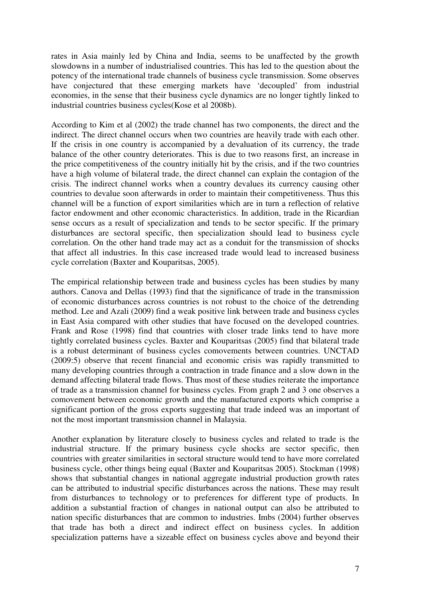rates in Asia mainly led by China and India, seems to be unaffected by the growth slowdowns in a number of industrialised countries. This has led to the question about the potency of the international trade channels of business cycle transmission. Some observes have conjectured that these emerging markets have 'decoupled' from industrial economies, in the sense that their business cycle dynamics are no longer tightly linked to industrial countries business cycles(Kose et al 2008b).

According to Kim et al (2002) the trade channel has two components, the direct and the indirect. The direct channel occurs when two countries are heavily trade with each other. If the crisis in one country is accompanied by a devaluation of its currency, the trade balance of the other country deteriorates. This is due to two reasons first, an increase in the price competitiveness of the country initially hit by the crisis, and if the two countries have a high volume of bilateral trade, the direct channel can explain the contagion of the crisis. The indirect channel works when a country devalues its currency causing other countries to devalue soon afterwards in order to maintain their competitiveness. Thus this channel will be a function of export similarities which are in turn a reflection of relative factor endowment and other economic characteristics. In addition, trade in the Ricardian sense occurs as a result of specialization and tends to be sector specific. If the primary disturbances are sectoral specific, then specialization should lead to business cycle correlation. On the other hand trade may act as a conduit for the transmission of shocks that affect all industries. In this case increased trade would lead to increased business cycle correlation (Baxter and Kouparitsas, 2005).

The empirical relationship between trade and business cycles has been studies by many authors. Canova and Dellas (1993) find that the significance of trade in the transmission of economic disturbances across countries is not robust to the choice of the detrending method. Lee and Azali (2009) find a weak positive link between trade and business cycles in East Asia compared with other studies that have focused on the developed countries. Frank and Rose (1998) find that countries with closer trade links tend to have more tightly correlated business cycles. Baxter and Kouparitsas (2005) find that bilateral trade is a robust determinant of business cycles comovements between countries. UNCTAD (2009:5) observe that recent financial and economic crisis was rapidly transmitted to many developing countries through a contraction in trade finance and a slow down in the demand affecting bilateral trade flows. Thus most of these studies reiterate the importance of trade as a transmission channel for business cycles. From graph 2 and 3 one observes a comovement between economic growth and the manufactured exports which comprise a significant portion of the gross exports suggesting that trade indeed was an important of not the most important transmission channel in Malaysia.

Another explanation by literature closely to business cycles and related to trade is the industrial structure. If the primary business cycle shocks are sector specific, then countries with greater similarities in sectoral structure would tend to have more correlated business cycle, other things being equal (Baxter and Kouparitsas 2005). Stockman (1998) shows that substantial changes in national aggregate industrial production growth rates can be attributed to industrial specific disturbances across the nations. These may result from disturbances to technology or to preferences for different type of products. In addition a substantial fraction of changes in national output can also be attributed to nation specific disturbances that are common to industries. Imbs (2004) further observes that trade has both a direct and indirect effect on business cycles. In addition specialization patterns have a sizeable effect on business cycles above and beyond their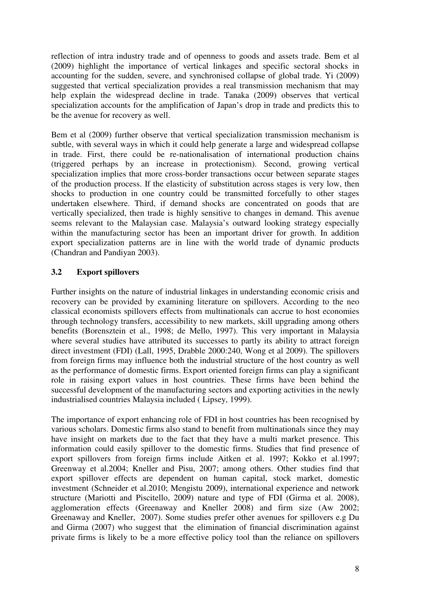reflection of intra industry trade and of openness to goods and assets trade. Bem et al (2009) highlight the importance of vertical linkages and specific sectoral shocks in accounting for the sudden, severe, and synchronised collapse of global trade. Yi (2009) suggested that vertical specialization provides a real transmission mechanism that may help explain the widespread decline in trade. Tanaka (2009) observes that vertical specialization accounts for the amplification of Japan's drop in trade and predicts this to be the avenue for recovery as well.

Bem et al (2009) further observe that vertical specialization transmission mechanism is subtle, with several ways in which it could help generate a large and widespread collapse in trade. First, there could be re-nationalisation of international production chains (triggered perhaps by an increase in protectionism). Second, growing vertical specialization implies that more cross-border transactions occur between separate stages of the production process. If the elasticity of substitution across stages is very low, then shocks to production in one country could be transmitted forcefully to other stages undertaken elsewhere. Third, if demand shocks are concentrated on goods that are vertically specialized, then trade is highly sensitive to changes in demand. This avenue seems relevant to the Malaysian case. Malaysia's outward looking strategy especially within the manufacturing sector has been an important driver for growth. In addition export specialization patterns are in line with the world trade of dynamic products (Chandran and Pandiyan 2003).

# **3.2 Export spillovers**

Further insights on the nature of industrial linkages in understanding economic crisis and recovery can be provided by examining literature on spillovers. According to the neo classical economists spillovers effects from multinationals can accrue to host economies through technology transfers, accessibility to new markets, skill upgrading among others benefits (Borensztein et al., 1998; de Mello, 1997). This very important in Malaysia where several studies have attributed its successes to partly its ability to attract foreign direct investment (FDI) (Lall, 1995, Drabble 2000:240, Wong et al 2009). The spillovers from foreign firms may influence both the industrial structure of the host country as well as the performance of domestic firms. Export oriented foreign firms can play a significant role in raising export values in host countries. These firms have been behind the successful development of the manufacturing sectors and exporting activities in the newly industrialised countries Malaysia included ( Lipsey, 1999).

The importance of export enhancing role of FDI in host countries has been recognised by various scholars. Domestic firms also stand to benefit from multinationals since they may have insight on markets due to the fact that they have a multi market presence. This information could easily spillover to the domestic firms. Studies that find presence of export spillovers from foreign firms include Aitken et al. 1997; Kokko et al.1997; Greenway et al.2004; Kneller and Pisu, 2007; among others. Other studies find that export spillover effects are dependent on human capital, stock market, domestic investment (Schneider et al.2010; Mengistu 2009), international experience and network structure (Mariotti and Piscitello, 2009) nature and type of FDI (Girma et al. 2008), agglomeration effects (Greenaway and Kneller 2008) and firm size (Aw 2002; Greenaway and Kneller, 2007). Some studies prefer other avenues for spillovers e.g Du and Girma (2007) who suggest that the elimination of financial discrimination against private firms is likely to be a more effective policy tool than the reliance on spillovers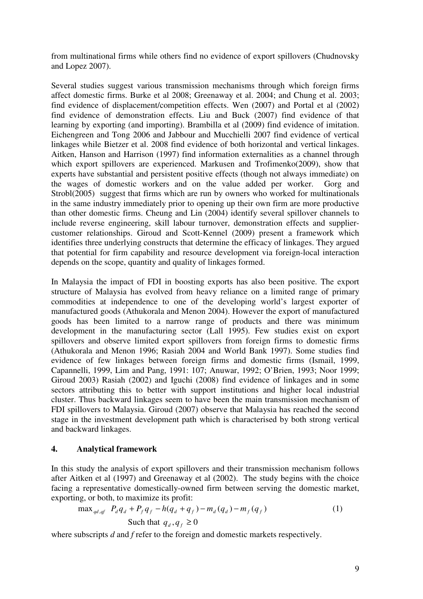from multinational firms while others find no evidence of export spillovers (Chudnovsky and Lopez 2007).

Several studies suggest various transmission mechanisms through which foreign firms affect domestic firms. Burke et al 2008; Greenaway et al. 2004; and Chung et al. 2003; find evidence of displacement/competition effects. Wen (2007) and Portal et al (2002) find evidence of demonstration effects. Liu and Buck (2007) find evidence of that learning by exporting (and importing). Brambilla et al (2009) find evidence of imitation. Eichengreen and Tong 2006 and Jabbour and Mucchielli 2007 find evidence of vertical linkages while Bietzer et al. 2008 find evidence of both horizontal and vertical linkages. Aitken, Hanson and Harrison (1997) find information externalities as a channel through which export spillovers are experienced. Markusen and Trofimenko(2009), show that experts have substantial and persistent positive effects (though not always immediate) on the wages of domestic workers and on the value added per worker. Gorg and Strobl(2005) suggest that firms which are run by owners who worked for multinationals in the same industry immediately prior to opening up their own firm are more productive than other domestic firms. Cheung and Lin (2004) identify several spillover channels to include reverse engineering, skill labour turnover, demonstration effects and suppliercustomer relationships. Giroud and Scott-Kennel (2009) present a framework which identifies three underlying constructs that determine the efficacy of linkages. They argued that potential for firm capability and resource development via foreign-local interaction depends on the scope, quantity and quality of linkages formed.

In Malaysia the impact of FDI in boosting exports has also been positive. The export structure of Malaysia has evolved from heavy reliance on a limited range of primary commodities at independence to one of the developing world's largest exporter of manufactured goods (Athukorala and Menon 2004). However the export of manufactured goods has been limited to a narrow range of products and there was minimum development in the manufacturing sector (Lall 1995). Few studies exist on export spillovers and observe limited export spillovers from foreign firms to domestic firms (Athukorala and Menon 1996; Rasiah 2004 and World Bank 1997). Some studies find evidence of few linkages between foreign firms and domestic firms (Ismail, 1999, Capannelli, 1999, Lim and Pang, 1991: 107; Anuwar, 1992; O'Brien, 1993; Noor 1999; Giroud 2003) Rasiah (2002) and Iguchi (2008) find evidence of linkages and in some sectors attributing this to better with support institutions and higher local industrial cluster. Thus backward linkages seem to have been the main transmission mechanism of FDI spillovers to Malaysia. Giroud (2007) observe that Malaysia has reached the second stage in the investment development path which is characterised by both strong vertical and backward linkages.

## **4. Analytical framework**

In this study the analysis of export spillovers and their transmission mechanism follows after Aitken et al (1997) and Greenaway et al (2002). The study begins with the choice facing a representative domestically-owned firm between serving the domestic market, exporting, or both, to maximize its profit:

$$
\max_{qd, qf} \ P_d q_d + P_f q_f - h(q_d + q_f) - m_d(q_d) - m_f(q_f) \tag{1}
$$
\n
$$
\text{Such that } q_d, q_f \ge 0
$$

where subscripts *d* and *f* refer to the foreign and domestic markets respectively.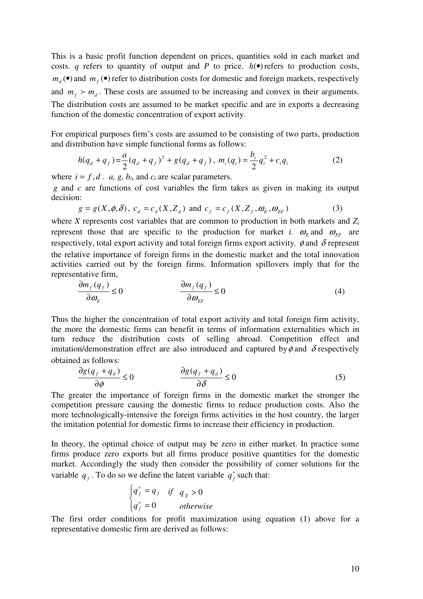This is a basic profit function dependent on prices, quantities sold in each market and costs. *q* refers to quantity of output and *P* to price.  $h(\bullet)$  refers to production costs,  $m_d$  (•) and  $m_f$  (•) refer to distribution costs for domestic and foreign markets, respectively and  $m_f \succ m_d$ . These costs are assumed to be increasing and convex in their arguments. The distribution costs are assumed to be market specific and are in exports a decreasing function of the domestic concentration of export activity.

For empirical purposes firm's costs are assumed to be consisting of two parts, production and distribution have simple functional forms as follows:

$$
h(q_d + q_f) = \frac{a}{2}(q_d + q_f)^2 + g(q_d + q_f), \ m_i(q_i) = \frac{b_i}{2}q_i^2 + c_iq_i
$$
 (2)

where  $i = f, d$ . *a, g, b<sub>i</sub>*, and  $c_i$  are scalar parameters.

 *g* and *c* are functions of cost variables the firm takes as given in making its output decision:

$$
g = g(X, \phi, \delta), \ c_d = c_d(X, Z_d) \text{ and } c_f = c_f(X, Z_f, \omega_E, \omega_{EF})
$$
 (3)

where *X* represents cost variables that are common to production in both markets and *Z<sup>i</sup>* represent those that are specific to the production for market *i*.  $\omega_E$  and  $\omega_{EF}$  are respectively, total export activity and total foreign firms export activity.  $\phi$  and  $\delta$  represent the relative importance of foreign firms in the domestic market and the total innovation activities carried out by the foreign firms. Information spillovers imply that for the representative firm,

$$
\frac{\partial m_f(q_f)}{\partial \omega_E} \le 0 \qquad \qquad \frac{\partial m_f(q_f)}{\partial \omega_{EF}} \le 0 \tag{4}
$$

Thus the higher the concentration of total export activity and total foreign firm activity, the more the domestic firms can benefit in terms of information externalities which in turn reduce the distribution costs of selling abroad. Competition effect and imitation/demonstration effect are also introduced and captured by  $\phi$  and  $\delta$  respectively obtained as follows:

$$
\frac{\partial g(q_f + q_d)}{\partial \phi} \le 0 \qquad \qquad \frac{\partial g(q_f + q_d)}{\partial \delta} \le 0 \tag{5}
$$

The greater the importance of foreign firms in the domestic market the stronger the competition pressure causing the domestic firms to reduce production costs. Also the more technologically-intensive the foreign firms activities in the host country, the larger the imitation potential for domestic firms to increase their efficiency in production.

In theory, the optimal choice of output may be zero in either market. In practice some firms produce zero exports but all firms produce positive quantities for the domestic market. Accordingly the study then consider the possibility of corner solutions for the variable  $q_f$ . To do so we define the latent variable  $q_f^*$  such that:

$$
\begin{cases} q_f^* = q_f & \text{if } q_f > 0\\ q_f^* = 0 & \text{otherwise} \end{cases}
$$

The first order conditions for profit maximization using equation (1) above for a representative domestic firm are derived as follows: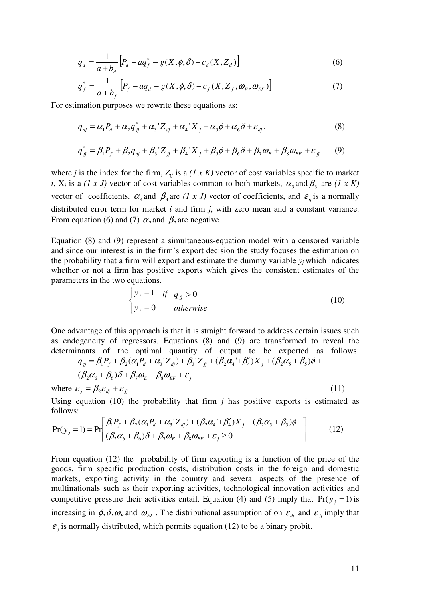$$
q_d = \frac{1}{a+b_d} \Big[ P_d - a q_f^* - g(X, \phi, \delta) - c_d(X, Z_d) \Big] \tag{6}
$$

$$
q_f^* = \frac{1}{a+b_f} \Big[ P_f - a q_d - g(X, \phi, \delta) - c_f(X, Z_f, \omega_E, \omega_{EF}) \Big]
$$
(7)

For estimation purposes we rewrite these equations as:

$$
q_{dj} = \alpha_1 P_d + \alpha_2 q_{jj}^* + \alpha_3 Z_{dj} + \alpha_4 X_j + \alpha_5 \phi + \alpha_6 \delta + \varepsilon_{dj},
$$
\n(8)

$$
q_{jj}^* = \beta_1 P_f + \beta_2 q_{dj} + \beta_3' Z_{jj} + \beta_4' X_j + \beta_5 \phi + \beta_6 \delta + \beta_7 \omega_E + \beta_8 \omega_{EF} + \varepsilon_{jj} \tag{9}
$$

where *j* is the index for the firm,  $Z_{ij}$  is a  $(1 \times K)$  vector of cost variables specific to market *i*,  $X_j$  is a (1 x J) vector of cost variables common to both markets,  $\alpha_3$  and  $\beta_3$  are (1 x K) vector of coefficients.  $\alpha_4$  and  $\beta_4$  are  $(1 \times J)$  vector of coefficients, and  $\varepsilon_{ij}$  is a normally distributed error term for market *i* and firm *j*, with zero mean and a constant variance. From equation (6) and (7)  $\alpha_2$  and  $\beta_2$  are negative.

Equation (8) and (9) represent a simultaneous-equation model with a censored variable and since our interest is in the firm's export decision the study focuses the estimation on the probability that a firm will export and estimate the dummy variable  $y_i$  which indicates whether or not a firm has positive exports which gives the consistent estimates of the parameters in the two equations.

$$
\begin{cases}\ny_j = 1 & \text{if } q_{jj} > 0 \\
y_j = 0 & \text{otherwise}\n\end{cases}
$$
\n(10)

One advantage of this approach is that it is straight forward to address certain issues such as endogeneity of regressors. Equations (8) and (9) are transformed to reveal the determinants of the optimal quantity of output to be exported as follows:  $q_{\hat{B}} = \beta_1 P_f + \beta_2 (\alpha_1 P_d + \alpha_3 Z_{dj}) + \beta_3 Z_{\hat{B}} + (\beta_2 \alpha_4 + \beta_4' ) X_j + (\beta_2 \alpha_5 + \beta_5) \phi +$ 

$$
(\beta_2 \alpha_6 + \beta_6) \delta + \beta_7 \omega_E + \beta_8 \omega_{EF} + \varepsilon_j
$$
  
where  $\varepsilon_j = \beta_2 \varepsilon_{dj} + \varepsilon_{jj}$  (11)

Using equation (10) the probability that firm *j* has positive exports is estimated as follows:

$$
Pr(y_j = 1) = Pr\left[\frac{\beta_1 P_f + \beta_2 (\alpha_1 P_d + \alpha_3 Z_{dj}) + (\beta_2 \alpha_4' + \beta_4' )X_j + (\beta_2 \alpha_5 + \beta_5) \phi + \beta_4 (\beta_2 \alpha_6 + \beta_6) \delta + \beta_7 \omega_E + \beta_8 \omega_{EF} + \varepsilon_j \ge 0\right]
$$
(12)

From equation (12) the probability of firm exporting is a function of the price of the goods, firm specific production costs, distribution costs in the foreign and domestic markets, exporting activity in the country and several aspects of the presence of multinationals such as their exporting activities, technological innovation activities and competitive pressure their activities entail. Equation (4) and (5) imply that  $Pr(y_i = 1)$  is increasing in  $\phi$ ,  $\delta$ ,  $\omega$ <sub>E</sub> and  $\omega$ <sub>EF</sub>. The distributional assumption of on  $\varepsilon$ <sub>dj</sub> and  $\varepsilon$ <sub>fj</sub> imply that  $\varepsilon_j$  is normally distributed, which permits equation (12) to be a binary probit.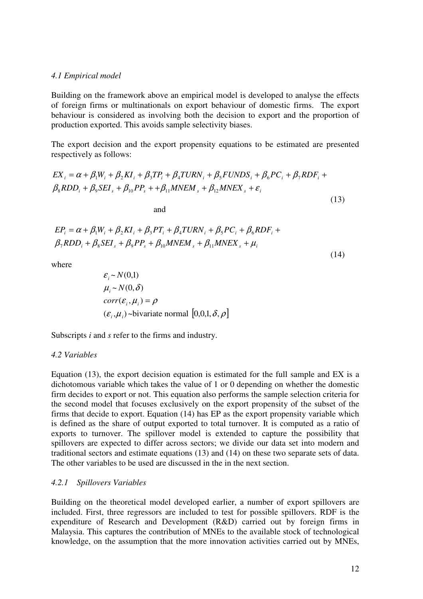### *4.1 Empirical model*

Building on the framework above an empirical model is developed to analyse the effects of foreign firms or multinationals on export behaviour of domestic firms. The export behaviour is considered as involving both the decision to export and the proportion of production exported. This avoids sample selectivity biases.

The export decision and the export propensity equations to be estimated are presented respectively as follows:

$$
EX_{i} = \alpha + \beta_{1}W_{i} + \beta_{2}KI_{i} + \beta_{3}TP_{i} + \beta_{4}TURN_{i} + \beta_{5}FUNDS_{i} + \beta_{6}PC_{i} + \beta_{7}RDF_{i} + \beta_{8}RDD_{i} + \beta_{9}SEL_{s} + \beta_{10}PP_{s} + + \beta_{11}MNEM_{s} + \beta_{12}MNEX_{s} + \varepsilon_{i}
$$
\n(13)

and

$$
EP_i = \alpha + \beta_1 W_i + \beta_2 K I_i + \beta_3 PT_i + \beta_4 T U R N_i + \beta_5 P C_i + \beta_6 R DF_i +
$$
  

$$
\beta_7 R DD_i + \beta_8 SE I_s + \beta_9 P P_s + \beta_{10} M N EM_s + \beta_{11} M N EX_s + \mu_i
$$

(14)

where

$$
\varepsilon_i \sim N(0,1)
$$
  
\n
$$
\mu_i \sim N(0,\delta)
$$
  
\n
$$
corr(\varepsilon_i, \mu_i) = \rho
$$
  
\n
$$
(\varepsilon_i, \mu_i) \sim \text{bivariate normal } [0,0,1,\delta,\rho]
$$

Subscripts *i* and *s* refer to the firms and industry.

<sup>ε</sup> ~ )1,0( *N*

### *4.2 Variables*

Equation (13), the export decision equation is estimated for the full sample and EX is a dichotomous variable which takes the value of 1 or 0 depending on whether the domestic firm decides to export or not. This equation also performs the sample selection criteria for the second model that focuses exclusively on the export propensity of the subset of the firms that decide to export. Equation (14) has EP as the export propensity variable which is defined as the share of output exported to total turnover. It is computed as a ratio of exports to turnover. The spillover model is extended to capture the possibility that spillovers are expected to differ across sectors; we divide our data set into modern and traditional sectors and estimate equations (13) and (14) on these two separate sets of data. The other variables to be used are discussed in the in the next section.

## *4.2.1 Spillovers Variables*

Building on the theoretical model developed earlier, a number of export spillovers are included. First, three regressors are included to test for possible spillovers. RDF is the expenditure of Research and Development (R&D) carried out by foreign firms in Malaysia. This captures the contribution of MNEs to the available stock of technological knowledge, on the assumption that the more innovation activities carried out by MNEs,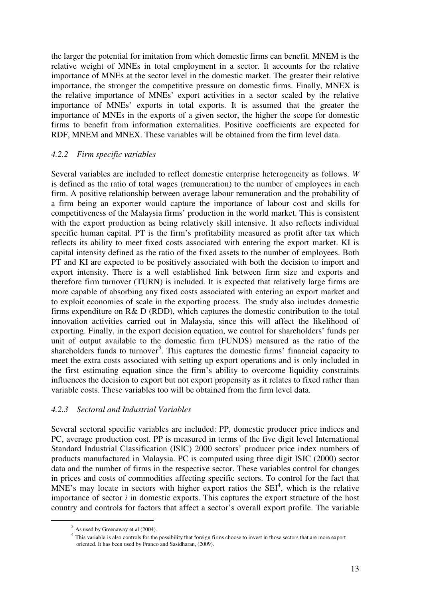the larger the potential for imitation from which domestic firms can benefit. MNEM is the relative weight of MNEs in total employment in a sector. It accounts for the relative importance of MNEs at the sector level in the domestic market. The greater their relative importance, the stronger the competitive pressure on domestic firms. Finally, MNEX is the relative importance of MNEs' export activities in a sector scaled by the relative importance of MNEs' exports in total exports. It is assumed that the greater the importance of MNEs in the exports of a given sector, the higher the scope for domestic firms to benefit from information externalities. Positive coefficients are expected for RDF, MNEM and MNEX. These variables will be obtained from the firm level data.

## *4.2.2 Firm specific variables*

Several variables are included to reflect domestic enterprise heterogeneity as follows. *W* is defined as the ratio of total wages (remuneration) to the number of employees in each firm. A positive relationship between average labour remuneration and the probability of a firm being an exporter would capture the importance of labour cost and skills for competitiveness of the Malaysia firms' production in the world market. This is consistent with the export production as being relatively skill intensive. It also reflects individual specific human capital. PT is the firm's profitability measured as profit after tax which reflects its ability to meet fixed costs associated with entering the export market. KI is capital intensity defined as the ratio of the fixed assets to the number of employees. Both PT and KI are expected to be positively associated with both the decision to import and export intensity. There is a well established link between firm size and exports and therefore firm turnover (TURN) is included. It is expected that relatively large firms are more capable of absorbing any fixed costs associated with entering an export market and to exploit economies of scale in the exporting process. The study also includes domestic firms expenditure on R& D (RDD), which captures the domestic contribution to the total innovation activities carried out in Malaysia, since this will affect the likelihood of exporting. Finally, in the export decision equation, we control for shareholders' funds per unit of output available to the domestic firm (FUNDS) measured as the ratio of the shareholders funds to turnover<sup>3</sup>. This captures the domestic firms' financial capacity to meet the extra costs associated with setting up export operations and is only included in the first estimating equation since the firm's ability to overcome liquidity constraints influences the decision to export but not export propensity as it relates to fixed rather than variable costs. These variables too will be obtained from the firm level data.

# *4.2.3 Sectoral and Industrial Variables*

Several sectoral specific variables are included: PP, domestic producer price indices and PC, average production cost. PP is measured in terms of the five digit level International Standard Industrial Classification (ISIC) 2000 sectors' producer price index numbers of products manufactured in Malaysia. PC is computed using three digit ISIC (2000) sector data and the number of firms in the respective sector. These variables control for changes in prices and costs of commodities affecting specific sectors. To control for the fact that  $MNE$ 's may locate in sectors with higher export ratios the  $SEI<sup>4</sup>$ , which is the relative importance of sector *i* in domestic exports. This captures the export structure of the host country and controls for factors that affect a sector's overall export profile. The variable

 $\overline{a}$ 

 $3$  As used by Greenaway et al (2004).

<sup>&</sup>lt;sup>4</sup> This variable is also controls for the possibility that foreign firms choose to invest in those sectors that are more export oriented. It has been used by Franco and Sasidharan, (2009).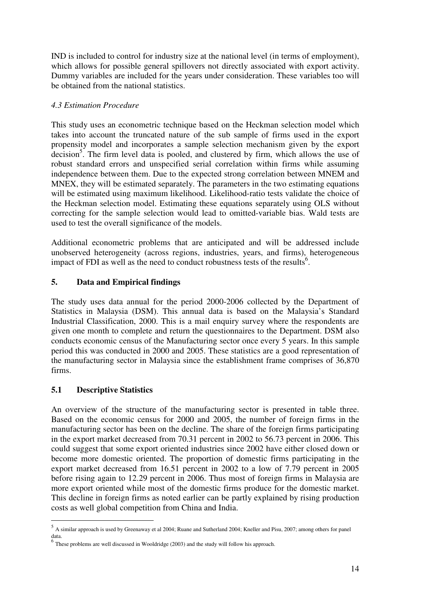IND is included to control for industry size at the national level (in terms of employment), which allows for possible general spillovers not directly associated with export activity. Dummy variables are included for the years under consideration. These variables too will be obtained from the national statistics.

# *4.3 Estimation Procedure*

This study uses an econometric technique based on the Heckman selection model which takes into account the truncated nature of the sub sample of firms used in the export propensity model and incorporates a sample selection mechanism given by the export  $\alpha$  decision<sup>5</sup>. The firm level data is pooled, and clustered by firm, which allows the use of robust standard errors and unspecified serial correlation within firms while assuming independence between them. Due to the expected strong correlation between MNEM and MNEX, they will be estimated separately. The parameters in the two estimating equations will be estimated using maximum likelihood. Likelihood-ratio tests validate the choice of the Heckman selection model. Estimating these equations separately using OLS without correcting for the sample selection would lead to omitted-variable bias. Wald tests are used to test the overall significance of the models.

Additional econometric problems that are anticipated and will be addressed include unobserved heterogeneity (across regions, industries, years, and firms), heterogeneous impact of FDI as well as the need to conduct robustness tests of the results<sup>6</sup>.

# **5. Data and Empirical findings**

The study uses data annual for the period 2000-2006 collected by the Department of Statistics in Malaysia (DSM). This annual data is based on the Malaysia's Standard Industrial Classification, 2000. This is a mail enquiry survey where the respondents are given one month to complete and return the questionnaires to the Department. DSM also conducts economic census of the Manufacturing sector once every 5 years. In this sample period this was conducted in 2000 and 2005. These statistics are a good representation of the manufacturing sector in Malaysia since the establishment frame comprises of 36,870 firms.

# **5.1 Descriptive Statistics**

An overview of the structure of the manufacturing sector is presented in table three. Based on the economic census for 2000 and 2005, the number of foreign firms in the manufacturing sector has been on the decline. The share of the foreign firms participating in the export market decreased from 70.31 percent in 2002 to 56.73 percent in 2006. This could suggest that some export oriented industries since 2002 have either closed down or become more domestic oriented. The proportion of domestic firms participating in the export market decreased from 16.51 percent in 2002 to a low of 7.79 percent in 2005 before rising again to 12.29 percent in 2006. Thus most of foreign firms in Malaysia are more export oriented while most of the domestic firms produce for the domestic market. This decline in foreign firms as noted earlier can be partly explained by rising production costs as well global competition from China and India.

 5 A similar approach is used by Greenaway et al 2004; Ruane and Sutherland 2004; Kneller and Pisu, 2007; among others for panel data. 6

These problems are well discussed in Wooldridge (2003) and the study will follow his approach.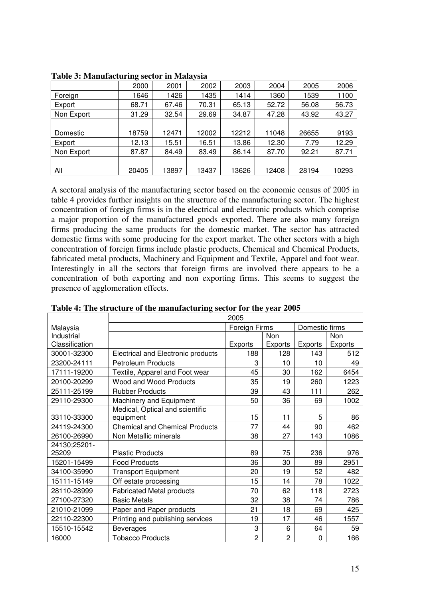|            | 0     |       | $\overline{ }$ |       |       |       |       |
|------------|-------|-------|----------------|-------|-------|-------|-------|
|            | 2000  | 2001  | 2002           | 2003  | 2004  | 2005  | 2006  |
| Foreign    | 1646  | 1426  | 1435           | 1414  | 1360  | 1539  | 1100  |
| Export     | 68.71 | 67.46 | 70.31          | 65.13 | 52.72 | 56.08 | 56.73 |
| Non Export | 31.29 | 32.54 | 29.69          | 34.87 | 47.28 | 43.92 | 43.27 |
|            |       |       |                |       |       |       |       |
| Domestic   | 18759 | 12471 | 12002          | 12212 | 11048 | 26655 | 9193  |
| Export     | 12.13 | 15.51 | 16.51          | 13.86 | 12.30 | 7.79  | 12.29 |
| Non Export | 87.87 | 84.49 | 83.49          | 86.14 | 87.70 | 92.21 | 87.71 |
|            |       |       |                |       |       |       |       |
| All        | 20405 | 13897 | 13437          | 13626 | 12408 | 28194 | 10293 |

**Table 3: Manufacturing sector in Malaysia** 

A sectoral analysis of the manufacturing sector based on the economic census of 2005 in table 4 provides further insights on the structure of the manufacturing sector. The highest concentration of foreign firms is in the electrical and electronic products which comprise a major proportion of the manufactured goods exported. There are also many foreign firms producing the same products for the domestic market. The sector has attracted domestic firms with some producing for the export market. The other sectors with a high concentration of foreign firms include plastic products, Chemical and Chemical Products, fabricated metal products, Machinery and Equipment and Textile, Apparel and foot wear. Interestingly in all the sectors that foreign firms are involved there appears to be a concentration of both exporting and non exporting firms. This seems to suggest the presence of agglomeration effects.

|                | 2005                                  |                |                |                |         |  |  |
|----------------|---------------------------------------|----------------|----------------|----------------|---------|--|--|
| Malaysia       |                                       | Foreign Firms  |                | Domestic firms |         |  |  |
| Industrial     |                                       |                | Non            |                | Non     |  |  |
| Classification |                                       | <b>Exports</b> | Exports        | <b>Exports</b> | Exports |  |  |
| 30001-32300    | Electrical and Electronic products    | 188            | 128            | 143            | 512     |  |  |
| 23200-24111    | <b>Petroleum Products</b>             | 3              | 10             | 10             | 49      |  |  |
| 17111-19200    | Textile, Apparel and Foot wear        | 45             | 30             | 162            | 6454    |  |  |
| 20100-20299    | <b>Wood and Wood Products</b>         | 35             | 19             | 260            | 1223    |  |  |
| 25111-25199    | <b>Rubber Products</b>                | 39             | 43             | 111            | 262     |  |  |
| 29110-29300    | Machinery and Equipment               | 50             | 36             | 69             | 1002    |  |  |
|                | Medical, Optical and scientific       |                |                |                |         |  |  |
| 33110-33300    | equipment                             | 15             | 11             | 5              | 86      |  |  |
| 24119-24300    | <b>Chemical and Chemical Products</b> | 77             | 44             | 90             | 462     |  |  |
| 26100-26990    | Non Metallic minerals                 | 38             | 27             | 143            | 1086    |  |  |
| 24130;25201-   |                                       |                |                |                |         |  |  |
| 25209          | <b>Plastic Products</b>               | 89             | 75             | 236            | 976     |  |  |
| 15201-15499    | <b>Food Products</b>                  | 36             | 30             | 89             | 2951    |  |  |
| 34100-35990    | <b>Transport Equipment</b>            | 20             | 19             | 52             | 482     |  |  |
| 15111-15149    | Off estate processing                 | 15             | 14             | 78             | 1022    |  |  |
| 28110-28999    | <b>Fabricated Metal products</b>      | 70             | 62             | 118            | 2723    |  |  |
| 27100-27320    | <b>Basic Metals</b>                   | 32             | 38             | 74             | 786     |  |  |
| 21010-21099    | Paper and Paper products              | 21             | 18             | 69             | 425     |  |  |
| 22110-22300    | Printing and publishing services      | 19             | 17             | 46             | 1557    |  |  |
| 15510-15542    | <b>Beverages</b>                      | 3              | 6              | 64             | 59      |  |  |
| 16000          | <b>Tobacco Products</b>               | $\overline{c}$ | $\overline{c}$ | 0              | 166     |  |  |

**Table 4: The structure of the manufacturing sector for the year 2005**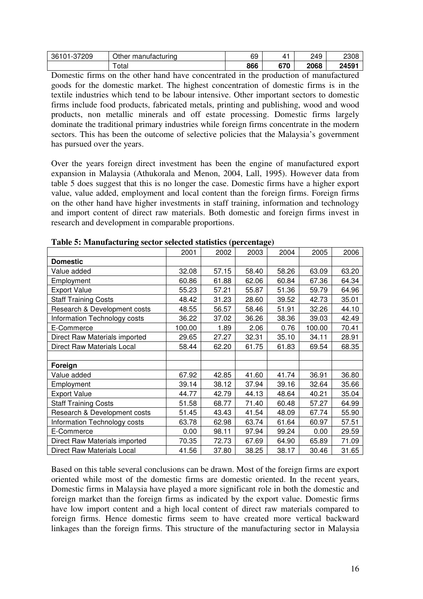| 37209<br>36101<br>. | Other manufacturing | 69  |     | 249  | 2308          |
|---------------------|---------------------|-----|-----|------|---------------|
|                     | otal                | 866 | 670 | 2068 | 24501<br>2439 |

Domestic firms on the other hand have concentrated in the production of manufactured goods for the domestic market. The highest concentration of domestic firms is in the textile industries which tend to be labour intensive. Other important sectors to domestic firms include food products, fabricated metals, printing and publishing, wood and wood products, non metallic minerals and off estate processing. Domestic firms largely dominate the traditional primary industries while foreign firms concentrate in the modern sectors. This has been the outcome of selective policies that the Malaysia's government has pursued over the years.

Over the years foreign direct investment has been the engine of manufactured export expansion in Malaysia (Athukorala and Menon, 2004, Lall, 1995). However data from table 5 does suggest that this is no longer the case. Domestic firms have a higher export value, value added, employment and local content than the foreign firms. Foreign firms on the other hand have higher investments in staff training, information and technology and import content of direct raw materials. Both domestic and foreign firms invest in research and development in comparable proportions.

|                                   | 2001   | 2002  | 2003  | 2004  | 2005   | 2006  |
|-----------------------------------|--------|-------|-------|-------|--------|-------|
| <b>Domestic</b>                   |        |       |       |       |        |       |
| Value added                       | 32.08  | 57.15 | 58.40 | 58.26 | 63.09  | 63.20 |
| Employment                        | 60.86  | 61.88 | 62.06 | 60.84 | 67.36  | 64.34 |
| <b>Export Value</b>               | 55.23  | 57.21 | 55.87 | 51.36 | 59.79  | 64.96 |
| <b>Staff Training Costs</b>       | 48.42  | 31.23 | 28.60 | 39.52 | 42.73  | 35.01 |
| Research & Development costs      | 48.55  | 56.57 | 58.46 | 51.91 | 32.26  | 44.10 |
| Information Technology costs      | 36.22  | 37.02 | 36.26 | 38.36 | 39.03  | 42.49 |
| E-Commerce                        | 100.00 | 1.89  | 2.06  | 0.76  | 100.00 | 70.41 |
| Direct Raw Materials imported     | 29.65  | 27.27 | 32.31 | 35.10 | 34.11  | 28.91 |
| <b>Direct Raw Materials Local</b> | 58.44  | 62.20 | 61.75 | 61.83 | 69.54  | 68.35 |
|                                   |        |       |       |       |        |       |
| Foreign                           |        |       |       |       |        |       |
| Value added                       | 67.92  | 42.85 | 41.60 | 41.74 | 36.91  | 36.80 |
| Employment                        | 39.14  | 38.12 | 37.94 | 39.16 | 32.64  | 35.66 |
| <b>Export Value</b>               | 44.77  | 42.79 | 44.13 | 48.64 | 40.21  | 35.04 |
| <b>Staff Training Costs</b>       | 51.58  | 68.77 | 71.40 | 60.48 | 57.27  | 64.99 |
| Research & Development costs      | 51.45  | 43.43 | 41.54 | 48.09 | 67.74  | 55.90 |
| Information Technology costs      | 63.78  | 62.98 | 63.74 | 61.64 | 60.97  | 57.51 |
| E-Commerce                        | 0.00   | 98.11 | 97.94 | 99.24 | 0.00   | 29.59 |
| Direct Raw Materials imported     | 70.35  | 72.73 | 67.69 | 64.90 | 65.89  | 71.09 |
| Direct Raw Materials Local        | 41.56  | 37.80 | 38.25 | 38.17 | 30.46  | 31.65 |

**Table 5: Manufacturing sector selected statistics (percentage)** 

Based on this table several conclusions can be drawn. Most of the foreign firms are export oriented while most of the domestic firms are domestic oriented. In the recent years, Domestic firms in Malaysia have played a more significant role in both the domestic and foreign market than the foreign firms as indicated by the export value. Domestic firms have low import content and a high local content of direct raw materials compared to foreign firms. Hence domestic firms seem to have created more vertical backward linkages than the foreign firms. This structure of the manufacturing sector in Malaysia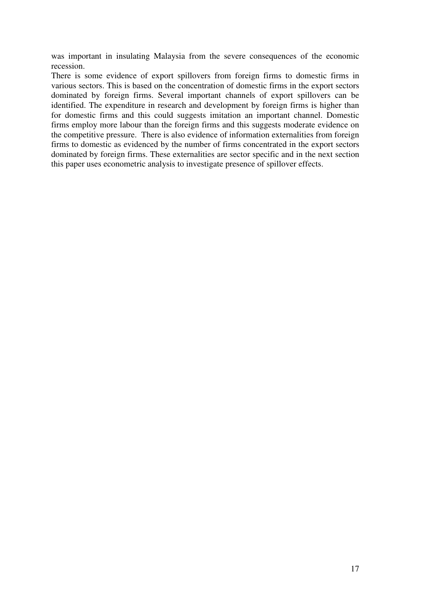was important in insulating Malaysia from the severe consequences of the economic recession.

There is some evidence of export spillovers from foreign firms to domestic firms in various sectors. This is based on the concentration of domestic firms in the export sectors dominated by foreign firms. Several important channels of export spillovers can be identified. The expenditure in research and development by foreign firms is higher than for domestic firms and this could suggests imitation an important channel. Domestic firms employ more labour than the foreign firms and this suggests moderate evidence on the competitive pressure. There is also evidence of information externalities from foreign firms to domestic as evidenced by the number of firms concentrated in the export sectors dominated by foreign firms. These externalities are sector specific and in the next section this paper uses econometric analysis to investigate presence of spillover effects.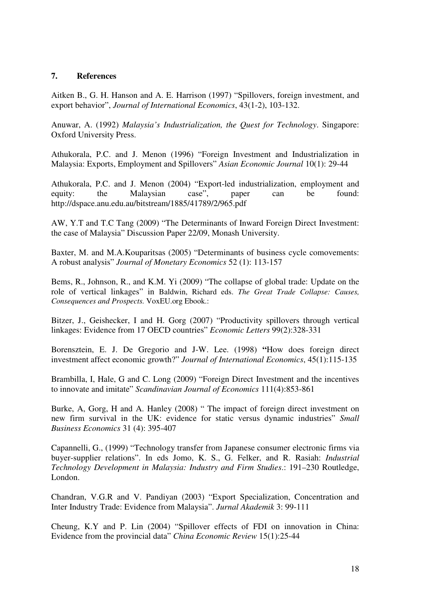## **7. References**

Aitken B., G. H. Hanson and A. E. Harrison (1997) "Spillovers, foreign investment, and export behavior", *Journal of International Economics*, 43(1-2), 103-132.

Anuwar, A. (1992) *Malaysia's Industrialization, the Quest for Technology*. Singapore: Oxford University Press.

Athukorala, P.C. and J. Menon (1996) "Foreign Investment and Industrialization in Malaysia: Exports, Employment and Spillovers" *Asian Economic Journal* 10(1): 29-44

Athukorala, P.C. and J. Menon (2004) "Export-led industrialization, employment and equity: the Malaysian case", paper can be found: http://dspace.anu.edu.au/bitstream/1885/41789/2/965.pdf

AW, Y.T and T.C Tang (2009) "The Determinants of Inward Foreign Direct Investment: the case of Malaysia" Discussion Paper 22/09, Monash University.

Baxter, M. and M.A.Kouparitsas (2005) "Determinants of business cycle comovements: A robust analysis" *Journal of Monetary Economics* 52 (1): 113-157

Bems, R., Johnson, R., and K.M. Yi (2009) "The collapse of global trade: Update on the role of vertical linkages" in Baldwin, Richard eds. *The Great Trade Collapse: Causes, Consequences and Prospects.* VoxEU.org Ebook.:

Bitzer, J., Geishecker, I and H. Gorg (2007) "Productivity spillovers through vertical linkages: Evidence from 17 OECD countries" *Economic Letters* 99(2):328-331

Borensztein, E. J. De Gregorio and J-W. Lee. (1998) **"**How does foreign direct investment affect economic growth?" *Journal of International Economics*, 45(1):115-135

Brambilla, I, Hale, G and C. Long (2009) "Foreign Direct Investment and the incentives to innovate and imitate" *Scandinavian Journal of Economics* 111(4):853-861

Burke, A, Gorg, H and A. Hanley (2008) " The impact of foreign direct investment on new firm survival in the UK: evidence for static versus dynamic industries" *Small Business Economics* 31 (4): 395-407

Capannelli, G., (1999) "Technology transfer from Japanese consumer electronic firms via buyer-supplier relations". In eds Jomo, K. S., G. Felker, and R. Rasiah: *Industrial Technology Development in Malaysia: Industry and Firm Studies*.: 191–230 Routledge, London.

Chandran, V.G.R and V. Pandiyan (2003) "Export Specialization, Concentration and Inter Industry Trade: Evidence from Malaysia". *Jurnal Akademik* 3: 99-111

Cheung, K.Y and P. Lin (2004) "Spillover effects of FDI on innovation in China: Evidence from the provincial data" *China Economic Review* 15(1):25-44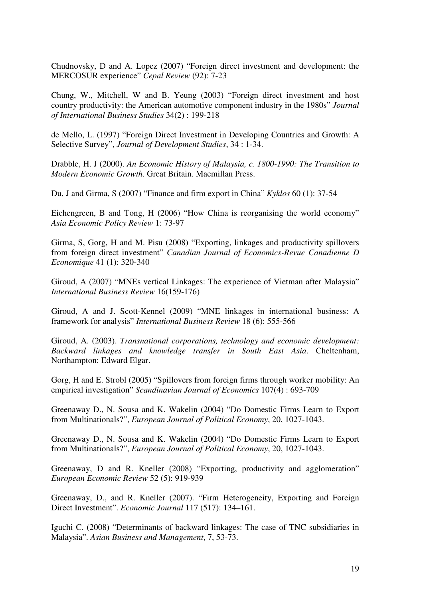Chudnovsky, D and A. Lopez (2007) "Foreign direct investment and development: the MERCOSUR experience" *Cepal Review* (92): 7-23

Chung, W., Mitchell, W and B. Yeung (2003) "Foreign direct investment and host country productivity: the American automotive component industry in the 1980s" *Journal of International Business Studies* 34(2) : 199-218

de Mello, L. (1997) "Foreign Direct Investment in Developing Countries and Growth: A Selective Survey", *Journal of Development Studies*, 34 : 1-34.

Drabble, H. J (2000). *An Economic History of Malaysia, c. 1800-1990: The Transition to Modern Economic Growth*. Great Britain. Macmillan Press.

Du, J and Girma, S (2007) "Finance and firm export in China" *Kyklos* 60 (1): 37-54

Eichengreen, B and Tong, H (2006) "How China is reorganising the world economy" *Asia Economic Policy Review* 1: 73-97

Girma, S, Gorg, H and M. Pisu (2008) "Exporting, linkages and productivity spillovers from foreign direct investment" *Canadian Journal of Economics-Revue Canadienne D Economique* 41 (1): 320-340

Giroud, A (2007) "MNEs vertical Linkages: The experience of Vietman after Malaysia" *International Business Review* 16(159-176)

Giroud, A and J. Scott-Kennel (2009) "MNE linkages in international business: A framework for analysis" *International Business Review* 18 (6): 555-566

Giroud, A. (2003). *Transnational corporations, technology and economic development: Backward linkages and knowledge transfer in South East Asia*. Cheltenham, Northampton: Edward Elgar.

Gorg, H and E. Strobl (2005) "Spillovers from foreign firms through worker mobility: An empirical investigation" *Scandinavian Journal of Economics* 107(4) : 693-709

Greenaway D., N. Sousa and K. Wakelin (2004) "Do Domestic Firms Learn to Export from Multinationals?", *European Journal of Political Economy*, 20, 1027-1043.

Greenaway D., N. Sousa and K. Wakelin (2004) "Do Domestic Firms Learn to Export from Multinationals?", *European Journal of Political Economy*, 20, 1027-1043.

Greenaway, D and R. Kneller (2008) "Exporting, productivity and agglomeration" *European Economic Review* 52 (5): 919-939

Greenaway, D., and R. Kneller (2007). "Firm Heterogeneity, Exporting and Foreign Direct Investment". *Economic Journal* 117 (517): 134–161.

Iguchi C. (2008) "Determinants of backward linkages: The case of TNC subsidiaries in Malaysia". *Asian Business and Management*, 7, 53-73.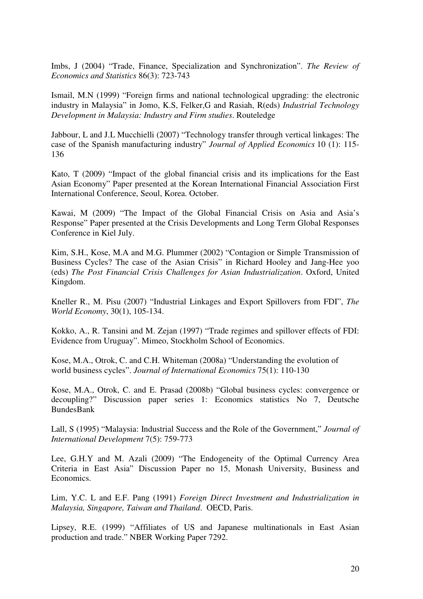Imbs, J (2004) "Trade, Finance, Specialization and Synchronization". *The Review of Economics and Statistics* 86(3): 723-743

Ismail, M.N (1999) "Foreign firms and national technological upgrading: the electronic industry in Malaysia" in Jomo, K.S, Felker,G and Rasiah, R(eds) *Industrial Technology Development in Malaysia: Industry and Firm studies*. Routeledge

Jabbour, L and J.L Mucchielli (2007) "Technology transfer through vertical linkages: The case of the Spanish manufacturing industry" *Journal of Applied Economics* 10 (1): 115- 136

Kato, T (2009) "Impact of the global financial crisis and its implications for the East Asian Economy" Paper presented at the Korean International Financial Association First International Conference, Seoul, Korea. October.

Kawai, M (2009) "The Impact of the Global Financial Crisis on Asia and Asia's Response" Paper presented at the Crisis Developments and Long Term Global Responses Conference in Kiel July.

Kim, S.H., Kose, M.A and M.G. Plummer (2002) "Contagion or Simple Transmission of Business Cycles? The case of the Asian Crisis" in Richard Hooley and Jang-Hee yoo (eds) *The Post Financial Crisis Challenges for Asian Industrialization*. Oxford, United Kingdom.

Kneller R., M. Pisu (2007) "Industrial Linkages and Export Spillovers from FDI", *The World Economy*, 30(1), 105-134.

Kokko, A., R. Tansini and M. Zejan (1997) "Trade regimes and spillover effects of FDI: Evidence from Uruguay". Mimeo, Stockholm School of Economics.

Kose, M.A., Otrok, C. and C.H. Whiteman (2008a) "Understanding the evolution of world business cycles". *Journal of International Economics* 75(1): 110-130

Kose, M.A., Otrok, C. and E. Prasad (2008b) "Global business cycles: convergence or decoupling?" Discussion paper series 1: Economics statistics No 7, Deutsche BundesBank

Lall, S (1995) "Malaysia: Industrial Success and the Role of the Government," *Journal of International Development* 7(5): 759-773

Lee, G.H.Y and M. Azali (2009) "The Endogeneity of the Optimal Currency Area Criteria in East Asia" Discussion Paper no 15, Monash University, Business and Economics.

Lim, Y.C. L and E.F. Pang (1991) *Foreign Direct Investment and Industrialization in Malaysia, Singapore, Taiwan and Thailand*. OECD, Paris.

Lipsey, R.E. (1999) "Affiliates of US and Japanese multinationals in East Asian production and trade." NBER Working Paper 7292.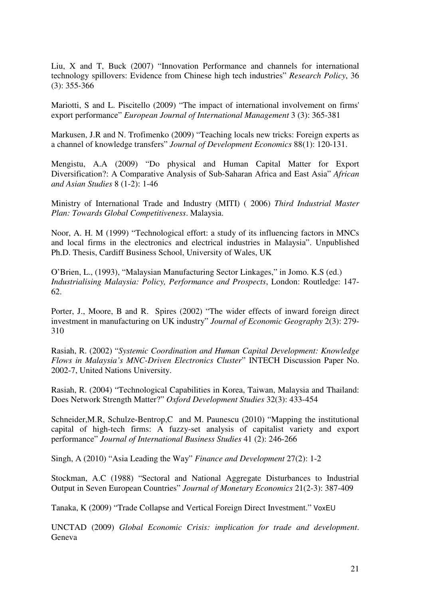Liu, X and T, Buck (2007) "Innovation Performance and channels for international technology spillovers: Evidence from Chinese high tech industries" *Research Policy*, 36 (3): 355-366

Mariotti, S and L. Piscitello (2009) "The impact of international involvement on firms' export performance" *European Journal of International Management* 3 (3): 365-381

Markusen, J.R and N. Trofimenko (2009) "Teaching locals new tricks: Foreign experts as a channel of knowledge transfers" *Journal of Development Economics* 88(1): 120-131.

Mengistu, A.A (2009) "Do physical and Human Capital Matter for Export Diversification?: A Comparative Analysis of Sub-Saharan Africa and East Asia" *African and Asian Studies* 8 (1-2): 1-46

Ministry of International Trade and Industry (MITI) ( 2006) *Third Industrial Master Plan: Towards Global Competitiveness*. Malaysia.

Noor, A. H. M (1999) "Technological effort: a study of its influencing factors in MNCs and local firms in the electronics and electrical industries in Malaysia". Unpublished Ph.D. Thesis, Cardiff Business School, University of Wales, UK

O'Brien, L., (1993), "Malaysian Manufacturing Sector Linkages," in Jomo. K.S (ed.) *Industrialising Malaysia: Policy, Performance and Prospects*, London: Routledge: 147- 62.

Porter, J., Moore, B and R. Spires (2002) "The wider effects of inward foreign direct investment in manufacturing on UK industry" *Journal of Economic Geography* 2(3): 279- 310

Rasiah, R. (2002) "*Systemic Coordination and Human Capital Development: Knowledge Flows in Malaysia's MNC-Driven Electronics Cluster*" INTECH Discussion Paper No. 2002-7, United Nations University.

Rasiah, R. (2004) "Technological Capabilities in Korea, Taiwan, Malaysia and Thailand: Does Network Strength Matter?" *Oxford Development Studies* 32(3): 433-454

Schneider,M.R, Schulze-Bentrop,C and M. Paunescu (2010) "Mapping the institutional capital of high-tech firms: A fuzzy-set analysis of capitalist variety and export performance" *Journal of International Business Studies* 41 (2): 246-266

Singh, A (2010) "Asia Leading the Way" *Finance and Development* 27(2): 1-2

Stockman, A.C (1988) "Sectoral and National Aggregate Disturbances to Industrial Output in Seven European Countries" *Journal of Monetary Economics* 21(2-3): 387-409

Tanaka, K (2009) "Trade Collapse and Vertical Foreign Direct Investment." VoxEU

UNCTAD (2009) *Global Economic Crisis: implication for trade and development*. Geneva